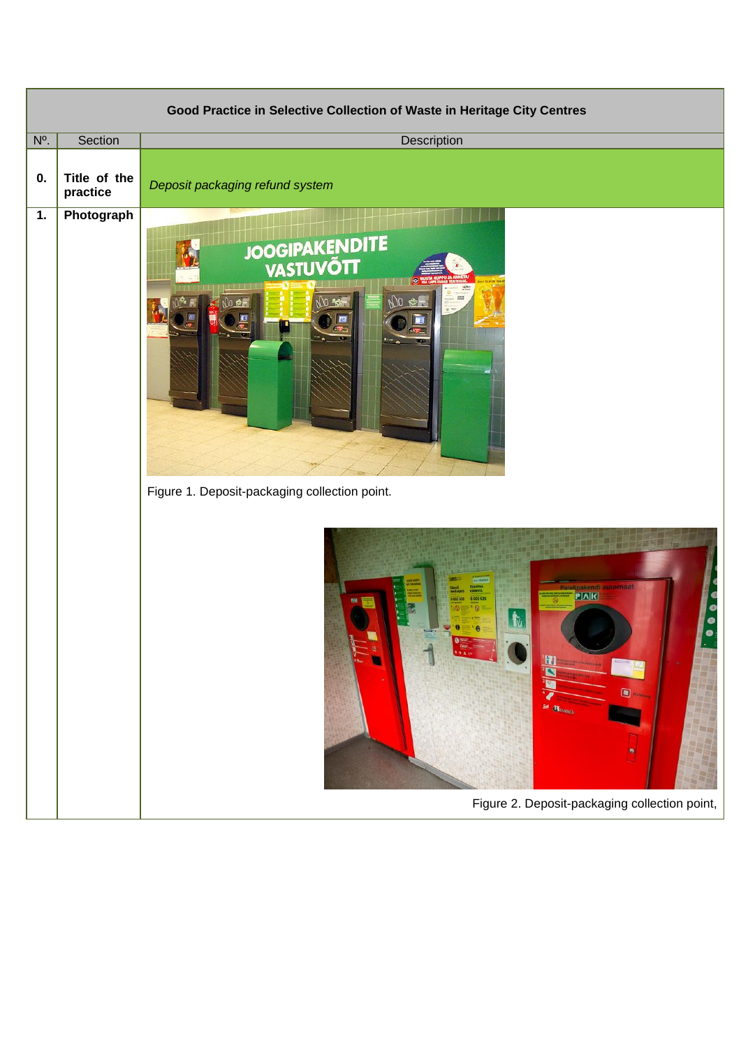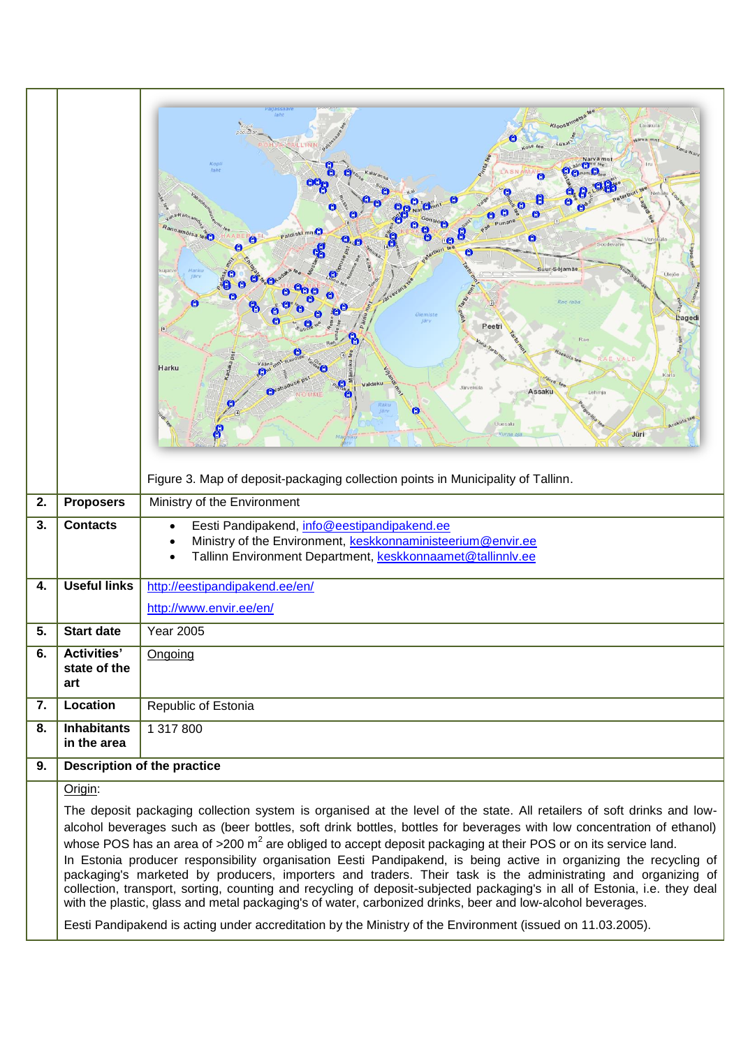|    |                                                                                                                                                                                                                                                                                                                                                                                                                                                                                                                                                                                                                                                                                                                                                                                                                                                                                                                                                                              | Kloos <sup>tri</sup><br>Laiaküla<br>aarva mni<br>Kopl<br>laht<br>tannamóisa te<br>Paldiski mn<br>O<br>Suur-Sõjamä<br>Ulejõe<br>Rae rabi<br>Αï<br>Laged<br>Peetri<br>Harku<br><b>Järveküla</b><br>Assaku<br>Lehmi<br>Arukülate<br>Uuesali<br>Jüri<br>Figure 3. Map of deposit-packaging collection points in Municipality of Tallinn. |  |  |  |  |  |
|----|------------------------------------------------------------------------------------------------------------------------------------------------------------------------------------------------------------------------------------------------------------------------------------------------------------------------------------------------------------------------------------------------------------------------------------------------------------------------------------------------------------------------------------------------------------------------------------------------------------------------------------------------------------------------------------------------------------------------------------------------------------------------------------------------------------------------------------------------------------------------------------------------------------------------------------------------------------------------------|--------------------------------------------------------------------------------------------------------------------------------------------------------------------------------------------------------------------------------------------------------------------------------------------------------------------------------------|--|--|--|--|--|
| 2. | <b>Proposers</b>                                                                                                                                                                                                                                                                                                                                                                                                                                                                                                                                                                                                                                                                                                                                                                                                                                                                                                                                                             | Ministry of the Environment                                                                                                                                                                                                                                                                                                          |  |  |  |  |  |
| 3. | <b>Contacts</b>                                                                                                                                                                                                                                                                                                                                                                                                                                                                                                                                                                                                                                                                                                                                                                                                                                                                                                                                                              | Eesti Pandipakend, info@eestipandipakend.ee<br>Ministry of the Environment, keskkonnaministeerium@envir.ee<br>Tallinn Environment Department, keskkonnaamet@tallinnlv.ee                                                                                                                                                             |  |  |  |  |  |
| 4. | <b>Useful links</b>                                                                                                                                                                                                                                                                                                                                                                                                                                                                                                                                                                                                                                                                                                                                                                                                                                                                                                                                                          | http://eestipandipakend.ee/en/                                                                                                                                                                                                                                                                                                       |  |  |  |  |  |
|    |                                                                                                                                                                                                                                                                                                                                                                                                                                                                                                                                                                                                                                                                                                                                                                                                                                                                                                                                                                              | http://www.envir.ee/en/                                                                                                                                                                                                                                                                                                              |  |  |  |  |  |
| 5. | <b>Start date</b>                                                                                                                                                                                                                                                                                                                                                                                                                                                                                                                                                                                                                                                                                                                                                                                                                                                                                                                                                            | <b>Year 2005</b>                                                                                                                                                                                                                                                                                                                     |  |  |  |  |  |
| 6. | <b>Activities'</b><br>state of the<br>art                                                                                                                                                                                                                                                                                                                                                                                                                                                                                                                                                                                                                                                                                                                                                                                                                                                                                                                                    | Ongoing                                                                                                                                                                                                                                                                                                                              |  |  |  |  |  |
| 7. | Location                                                                                                                                                                                                                                                                                                                                                                                                                                                                                                                                                                                                                                                                                                                                                                                                                                                                                                                                                                     | Republic of Estonia                                                                                                                                                                                                                                                                                                                  |  |  |  |  |  |
| 8. | <b>Inhabitants</b><br>in the area                                                                                                                                                                                                                                                                                                                                                                                                                                                                                                                                                                                                                                                                                                                                                                                                                                                                                                                                            | 1 317 800                                                                                                                                                                                                                                                                                                                            |  |  |  |  |  |
| 9. |                                                                                                                                                                                                                                                                                                                                                                                                                                                                                                                                                                                                                                                                                                                                                                                                                                                                                                                                                                              | <b>Description of the practice</b>                                                                                                                                                                                                                                                                                                   |  |  |  |  |  |
|    | Origin:                                                                                                                                                                                                                                                                                                                                                                                                                                                                                                                                                                                                                                                                                                                                                                                                                                                                                                                                                                      |                                                                                                                                                                                                                                                                                                                                      |  |  |  |  |  |
|    | The deposit packaging collection system is organised at the level of the state. All retailers of soft drinks and low-<br>alcohol beverages such as (beer bottles, soft drink bottles, bottles for beverages with low concentration of ethanol)<br>whose POS has an area of $>$ 200 m <sup>2</sup> are obliged to accept deposit packaging at their POS or on its service land.<br>In Estonia producer responsibility organisation Eesti Pandipakend, is being active in organizing the recycling of<br>packaging's marketed by producers, importers and traders. Their task is the administrating and organizing of<br>collection, transport, sorting, counting and recycling of deposit-subjected packaging's in all of Estonia, i.e. they deal<br>with the plastic, glass and metal packaging's of water, carbonized drinks, beer and low-alcohol beverages.<br>Eesti Pandipakend is acting under accreditation by the Ministry of the Environment (issued on 11.03.2005). |                                                                                                                                                                                                                                                                                                                                      |  |  |  |  |  |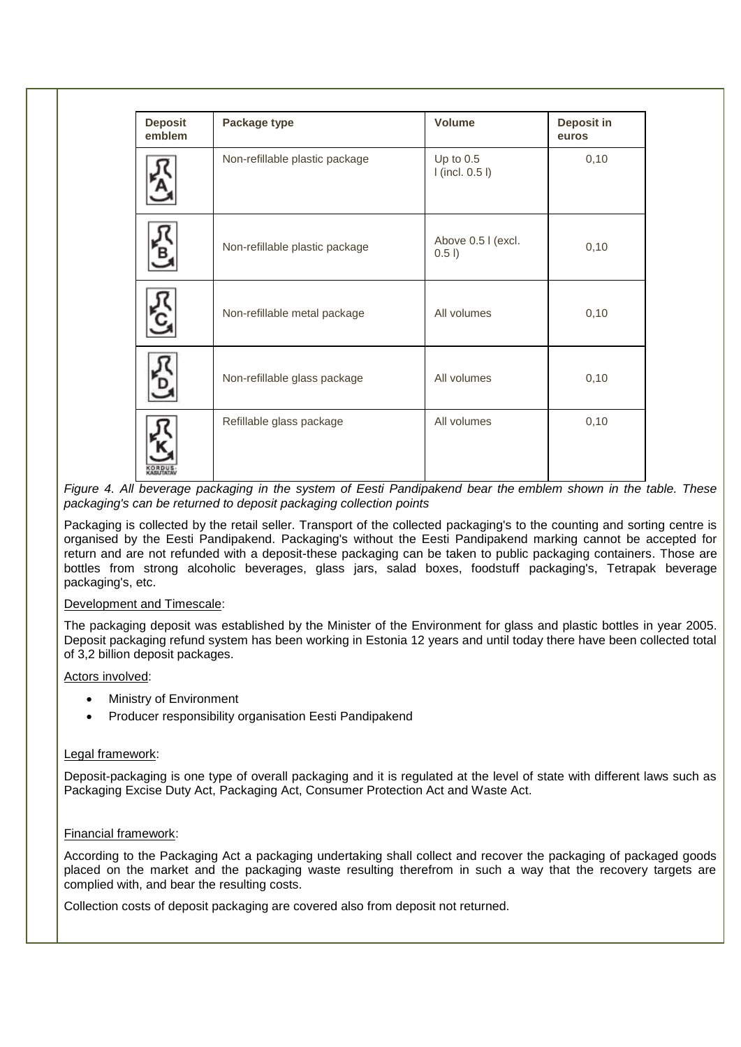| <b>Deposit</b><br>emblem | Package type                   | <b>Volume</b>                    | Deposit in<br>euros |  |
|--------------------------|--------------------------------|----------------------------------|---------------------|--|
|                          | Non-refillable plastic package | Up to $0.5$<br>$l$ (incl. 0.5 l) | 0,10                |  |
|                          | Non-refillable plastic package | Above 0.5 I (excl.<br>0.51       | 0,10                |  |
|                          | Non-refillable metal package   | All volumes                      | 0,10                |  |
|                          | Non-refillable glass package   | All volumes                      | 0,10                |  |
|                          | Refillable glass package       | All volumes                      | 0,10                |  |

*Figure 4. All beverage packaging in the system of Eesti Pandipakend bear the emblem shown in the table. These packaging's can be returned to deposit packaging collection points*

Packaging is collected by the retail seller. Transport of the collected packaging's to the counting and sorting centre is organised by the Eesti Pandipakend. Packaging's without the Eesti Pandipakend marking cannot be accepted for return and are not refunded with a deposit-these packaging can be taken to public packaging containers. Those are bottles from strong alcoholic beverages, glass jars, salad boxes, foodstuff packaging's, Tetrapak beverage packaging's, etc.

## Development and Timescale:

The packaging deposit was established by the Minister of the Environment for glass and plastic bottles in year 2005. Deposit packaging refund system has been working in Estonia 12 years and until today there have been collected total of 3,2 billion deposit packages.

## Actors involved:

- Ministry of Environment
- Producer responsibility organisation Eesti Pandipakend

## Legal framework:

Deposit-packaging is one type of overall packaging and it is regulated at the level of state with different laws such as Packaging Excise Duty Act, Packaging Act, Consumer Protection Act and Waste Act.

## Financial framework:

According to the Packaging Act a packaging undertaking shall collect and recover the packaging of packaged goods placed on the market and the packaging waste resulting therefrom in such a way that the recovery targets are complied with, and bear the resulting costs.

Collection costs of deposit packaging are covered also from deposit not returned.